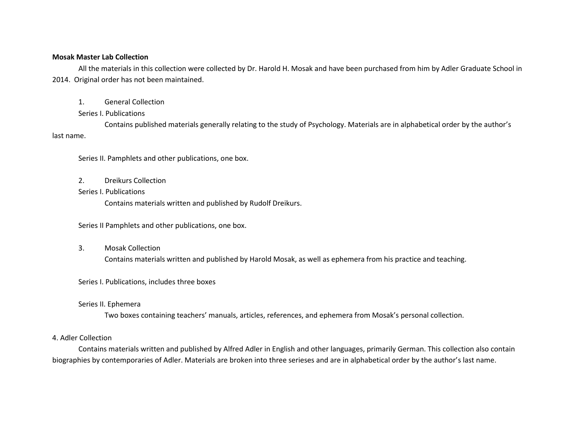#### **Mosak Master Lab Collection**

All the materials in this collection were collected by Dr. Harold H. Mosak and have been purchased from him by Adler Graduate School in 2014. Original order has not been maintained.

1. General Collection

#### Series I. Publications

Contains published materials generally relating to the study of Psychology. Materials are in alphabetical order by the author's last name.

Series II. Pamphlets and other publications, one box.

- 2. Dreikurs Collection
- Series I. Publications

Contains materials written and published by Rudolf Dreikurs.

Series II Pamphlets and other publications, one box.

3. Mosak Collection

Contains materials written and published by Harold Mosak, as well as ephemera from his practice and teaching.

### Series I. Publications, includes three boxes

### Series II. Ephemera

Two boxes containing teachers' manuals, articles, references, and ephemera from Mosak's personal collection.

### 4. Adler Collection

Contains materials written and published by Alfred Adler in English and other languages, primarily German. This collection also contain biographies by contemporaries of Adler. Materials are broken into three serieses and are in alphabetical order by the author's last name.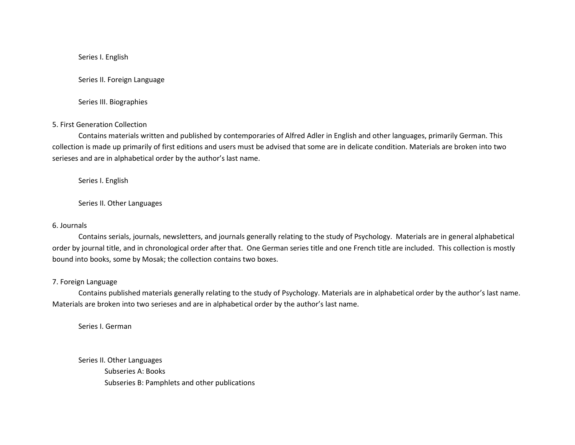#### Series I. English

Series II. Foreign Language

Series III. Biographies

#### 5. First Generation Collection

Contains materials written and published by contemporaries of Alfred Adler in English and other languages, primarily German. This collection is made up primarily of first editions and users must be advised that some are in delicate condition. Materials are broken into two serieses and are in alphabetical order by the author's last name.

Series I. English

Series II. Other Languages

#### 6. Journals

Contains serials, journals, newsletters, and journals generally relating to the study of Psychology. Materials are in general alphabetical order by journal title, and in chronological order after that. One German series title and one French title are included. This collection is mostly bound into books, some by Mosak; the collection contains two boxes.

#### 7. Foreign Language

Contains published materials generally relating to the study of Psychology. Materials are in alphabetical order by the author's last name. Materials are broken into two serieses and are in alphabetical order by the author's last name.

Series I. German

Series II. Other Languages Subseries A: Books Subseries B: Pamphlets and other publications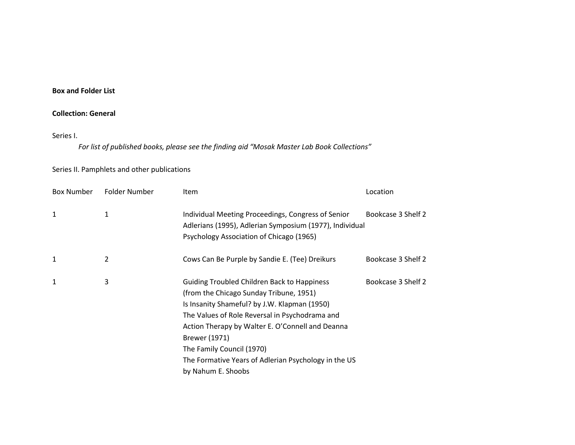### **Box and Folder List**

## **Collection: General**

#### Series I.

*For list of published books, please see the finding aid "Mosak Master Lab Book Collections"*

## Series II. Pamphlets and other publications

| <b>Box Number</b> | Folder Number | <b>Item</b>                                                                                                                                                                                                                                                                                                                                                                     | Location           |
|-------------------|---------------|---------------------------------------------------------------------------------------------------------------------------------------------------------------------------------------------------------------------------------------------------------------------------------------------------------------------------------------------------------------------------------|--------------------|
| 1                 | 1             | Individual Meeting Proceedings, Congress of Senior<br>Adlerians (1995), Adlerian Symposium (1977), Individual<br>Psychology Association of Chicago (1965)                                                                                                                                                                                                                       | Bookcase 3 Shelf 2 |
| 1                 | 2             | Cows Can Be Purple by Sandie E. (Tee) Dreikurs                                                                                                                                                                                                                                                                                                                                  | Bookcase 3 Shelf 2 |
| 1                 | 3             | <b>Guiding Troubled Children Back to Happiness</b><br>(from the Chicago Sunday Tribune, 1951)<br>Is Insanity Shameful? by J.W. Klapman (1950)<br>The Values of Role Reversal in Psychodrama and<br>Action Therapy by Walter E. O'Connell and Deanna<br>Brewer (1971)<br>The Family Council (1970)<br>The Formative Years of Adlerian Psychology in the US<br>by Nahum E. Shoobs | Bookcase 3 Shelf 2 |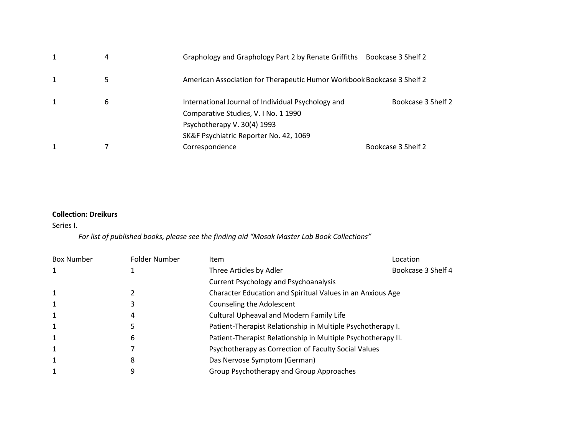| 4 | Graphology and Graphology Part 2 by Renate Griffiths                   | Bookcase 3 Shelf 2 |
|---|------------------------------------------------------------------------|--------------------|
| 5 | American Association for Therapeutic Humor Workbook Bookcase 3 Shelf 2 |                    |
| 6 | International Journal of Individual Psychology and                     | Bookcase 3 Shelf 2 |
|   | Comparative Studies, V. I No. 1 1990                                   |                    |
|   | Psychotherapy V. 30(4) 1993                                            |                    |
|   | SK&F Psychiatric Reporter No. 42, 1069                                 |                    |
|   | Correspondence                                                         | Bookcase 3 Shelf 2 |
|   |                                                                        |                    |

## **Collection: Dreikurs**

## Series I.

## *For list of published books, please see the finding aid "Mosak Master Lab Book Collections"*

| <b>Box Number</b> | Folder Number | <b>Item</b>                                                  | Location           |  |
|-------------------|---------------|--------------------------------------------------------------|--------------------|--|
|                   |               | Three Articles by Adler                                      | Bookcase 3 Shelf 4 |  |
|                   |               | <b>Current Psychology and Psychoanalysis</b>                 |                    |  |
|                   |               | Character Education and Spiritual Values in an Anxious Age   |                    |  |
|                   |               | Counseling the Adolescent                                    |                    |  |
|                   | 4             | <b>Cultural Upheaval and Modern Family Life</b>              |                    |  |
|                   |               | Patient-Therapist Relationship in Multiple Psychotherapy I.  |                    |  |
|                   | 6             | Patient-Therapist Relationship in Multiple Psychotherapy II. |                    |  |
|                   |               | Psychotherapy as Correction of Faculty Social Values         |                    |  |
|                   | 8             | Das Nervose Symptom (German)                                 |                    |  |
|                   | 9             | Group Psychotherapy and Group Approaches                     |                    |  |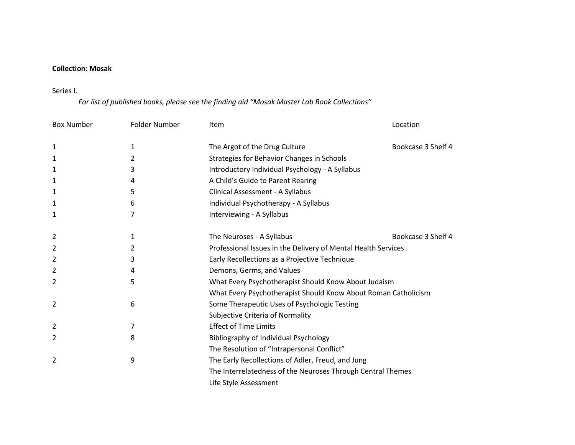## **Collection: Mosak**

## Series I.

# *For list of published books, please see the finding aid "Mosak Master Lab Book Collections"*

| <b>Box Number</b> | Folder Number | <b>Item</b>                                                    | Location           |  |
|-------------------|---------------|----------------------------------------------------------------|--------------------|--|
|                   | 1             | The Argot of the Drug Culture                                  | Bookcase 3 Shelf 4 |  |
| 1                 |               |                                                                |                    |  |
| 1                 | 2             | Strategies for Behavior Changes in Schools                     |                    |  |
| 1                 | 3             | Introductory Individual Psychology - A Syllabus                |                    |  |
| 1                 | 4             | A Child's Guide to Parent Rearing                              |                    |  |
| 1                 | 5             | Clinical Assessment - A Syllabus                               |                    |  |
| 1                 | 6             | Individual Psychotherapy - A Syllabus                          |                    |  |
| 1                 | 7             | Interviewing - A Syllabus                                      |                    |  |
| 2                 | 1             | The Neuroses - A Syllabus                                      | Bookcase 3 Shelf 4 |  |
| 2                 | 2             | Professional Issues in the Delivery of Mental Health Services  |                    |  |
| 2                 | 3             | Early Recollections as a Projective Technique                  |                    |  |
| 2                 | 4             | Demons, Germs, and Values                                      |                    |  |
| 2                 | 5             | What Every Psychotherapist Should Know About Judaism           |                    |  |
|                   |               | What Every Psychotherapist Should Know About Roman Catholicism |                    |  |
| 2                 | 6             | Some Therapeutic Uses of Psychologic Testing                   |                    |  |
|                   |               | Subjective Criteria of Normality                               |                    |  |
| 2                 | 7             | <b>Effect of Time Limits</b>                                   |                    |  |
| 2                 | 8             | Bibliography of Individual Psychology                          |                    |  |
|                   |               | The Resolution of "Intrapersonal Conflict"                     |                    |  |
| 2                 | 9             | The Early Recollections of Adler, Freud, and Jung              |                    |  |
|                   |               | The Interrelatedness of the Neuroses Through Central Themes    |                    |  |
|                   |               | Life Style Assessment                                          |                    |  |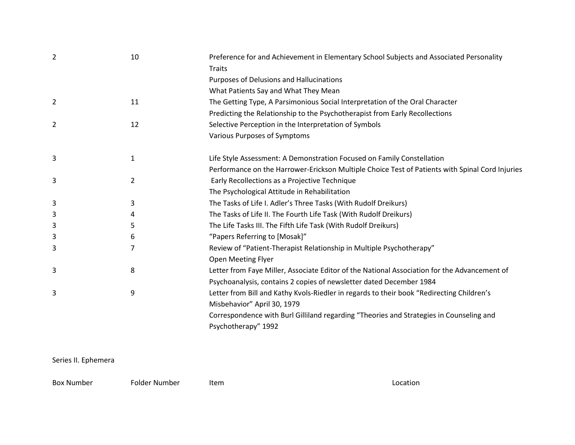| 2 | 10 | Preference for and Achievement in Elementary School Subjects and Associated Personality         |
|---|----|-------------------------------------------------------------------------------------------------|
|   |    | <b>Traits</b>                                                                                   |
|   |    | Purposes of Delusions and Hallucinations                                                        |
|   |    | What Patients Say and What They Mean                                                            |
| 2 | 11 | The Getting Type, A Parsimonious Social Interpretation of the Oral Character                    |
|   |    | Predicting the Relationship to the Psychotherapist from Early Recollections                     |
| 2 | 12 | Selective Perception in the Interpretation of Symbols                                           |
|   |    | Various Purposes of Symptoms                                                                    |
| 3 | 1  | Life Style Assessment: A Demonstration Focused on Family Constellation                          |
|   |    | Performance on the Harrower-Erickson Multiple Choice Test of Patients with Spinal Cord Injuries |
| 3 | 2  | Early Recollections as a Projective Technique                                                   |
|   |    | The Psychological Attitude in Rehabilitation                                                    |
| 3 | 3  | The Tasks of Life I. Adler's Three Tasks (With Rudolf Dreikurs)                                 |
| 3 | 4  | The Tasks of Life II. The Fourth Life Task (With Rudolf Dreikurs)                               |
| 3 | 5  | The Life Tasks III. The Fifth Life Task (With Rudolf Dreikurs)                                  |
| 3 | 6  | "Papers Referring to [Mosak]"                                                                   |
| 3 | 7  | Review of "Patient-Therapist Relationship in Multiple Psychotherapy"                            |
|   |    | <b>Open Meeting Flyer</b>                                                                       |
| 3 | 8  | Letter from Faye Miller, Associate Editor of the National Association for the Advancement of    |
|   |    | Psychoanalysis, contains 2 copies of newsletter dated December 1984                             |
| 3 | 9  | Letter from Bill and Kathy Kvols-Riedler in regards to their book "Redirecting Children's       |
|   |    | Misbehavior" April 30, 1979                                                                     |
|   |    | Correspondence with Burl Gilliland regarding "Theories and Strategies in Counseling and         |
|   |    | Psychotherapy" 1992                                                                             |
|   |    |                                                                                                 |

## Series II. Ephemera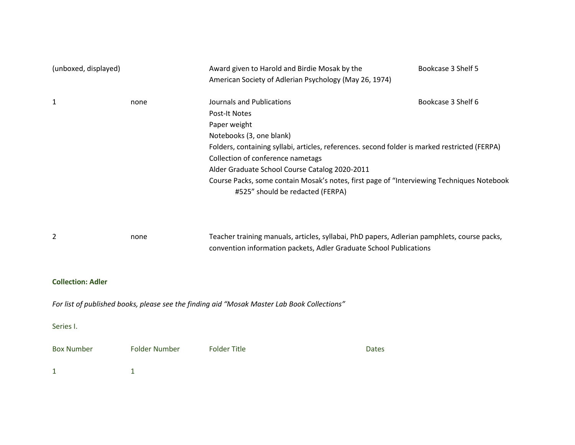| (unboxed, displayed)     |                      | Award given to Harold and Birdie Mosak by the<br>Bookcase 3 Shelf 5<br>American Society of Adlerian Psychology (May 26, 1974)                                     |                    |  |  |
|--------------------------|----------------------|-------------------------------------------------------------------------------------------------------------------------------------------------------------------|--------------------|--|--|
| 1                        | none                 | Journals and Publications<br><b>Post-It Notes</b>                                                                                                                 | Bookcase 3 Shelf 6 |  |  |
|                          |                      | Paper weight                                                                                                                                                      |                    |  |  |
|                          |                      | Notebooks (3, one blank)                                                                                                                                          |                    |  |  |
|                          |                      | Folders, containing syllabi, articles, references. second folder is marked restricted (FERPA)                                                                     |                    |  |  |
|                          |                      | Collection of conference nametags                                                                                                                                 |                    |  |  |
|                          |                      | Alder Graduate School Course Catalog 2020-2011                                                                                                                    |                    |  |  |
|                          |                      | Course Packs, some contain Mosak's notes, first page of "Interviewing Techniques Notebook<br>#525" should be redacted (FERPA)                                     |                    |  |  |
| 2                        | none                 | Teacher training manuals, articles, syllabai, PhD papers, Adlerian pamphlets, course packs,<br>convention information packets, Adler Graduate School Publications |                    |  |  |
| <b>Collection: Adler</b> |                      |                                                                                                                                                                   |                    |  |  |
|                          |                      | For list of published books, please see the finding aid "Mosak Master Lab Book Collections"                                                                       |                    |  |  |
| Series I.                |                      |                                                                                                                                                                   |                    |  |  |
| <b>Box Number</b>        | <b>Folder Number</b> | <b>Folder Title</b><br><b>Dates</b>                                                                                                                               |                    |  |  |
| 1                        | 1                    |                                                                                                                                                                   |                    |  |  |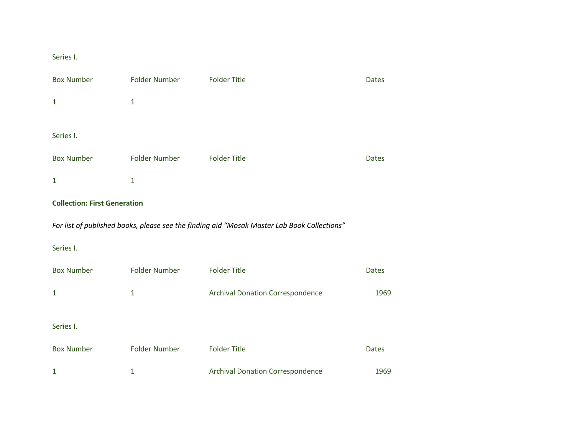## Series I.

| <b>Box Number</b> | <b>Folder Number</b> | <b>Folder Title</b> | <b>Dates</b> |
|-------------------|----------------------|---------------------|--------------|
| 1                 | 1                    |                     |              |
|                   |                      |                     |              |
| Series I.         |                      |                     |              |
| <b>Box Number</b> | <b>Folder Number</b> | <b>Folder Title</b> | <b>Dates</b> |
| 1                 | 1                    |                     |              |

## **Collection: First Generation**

*For list of published books, please see the finding aid "Mosak Master Lab Book Collections"*

## Series I.

| <b>Box Number</b> | Folder Number        | <b>Folder Title</b>                     | <b>Dates</b> |
|-------------------|----------------------|-----------------------------------------|--------------|
|                   | 1                    | <b>Archival Donation Correspondence</b> | 1969         |
| Series I.         |                      |                                         |              |
| <b>Box Number</b> | <b>Folder Number</b> | <b>Folder Title</b>                     | <b>Dates</b> |
|                   | 1                    | <b>Archival Donation Correspondence</b> | 1969         |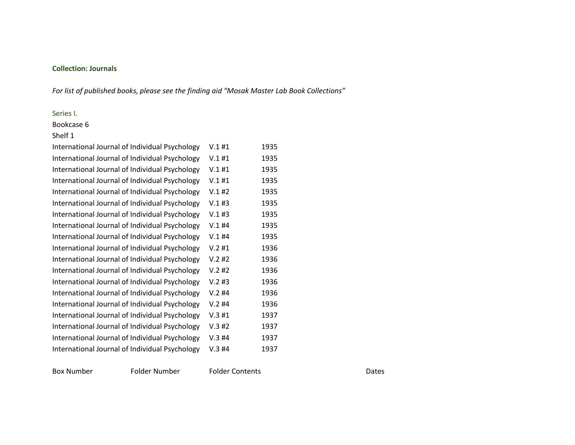## **Collection: Journals**

*For list of published books, please see the finding aid "Mosak Master Lab Book Collections"*

## Series I.

Bookcase 6

#### Shelf 1

| International Journal of Individual Psychology | V.1#1 | 1935 |
|------------------------------------------------|-------|------|
| International Journal of Individual Psychology | V.1#1 | 1935 |
| International Journal of Individual Psychology | V.1#1 | 1935 |
| International Journal of Individual Psychology | V.1#1 | 1935 |
| International Journal of Individual Psychology | V.1#2 | 1935 |
| International Journal of Individual Psychology | V.1#3 | 1935 |
| International Journal of Individual Psychology | V.1#3 | 1935 |
| International Journal of Individual Psychology | V.1#4 | 1935 |
| International Journal of Individual Psychology | V.1#4 | 1935 |
| International Journal of Individual Psychology | V.2#1 | 1936 |
| International Journal of Individual Psychology | V.2#2 | 1936 |
| International Journal of Individual Psychology | V.2#2 | 1936 |
| International Journal of Individual Psychology | V.2#3 | 1936 |
| International Journal of Individual Psychology | V.2#4 | 1936 |
| International Journal of Individual Psychology | V.2#4 | 1936 |
| International Journal of Individual Psychology | V.3#1 | 1937 |
| International Journal of Individual Psychology | V.3#2 | 1937 |
| International Journal of Individual Psychology | V.3#4 | 1937 |
| International Journal of Individual Psychology | V.3#4 | 1937 |

Box Number Folder Number Folder Contents Folder Contents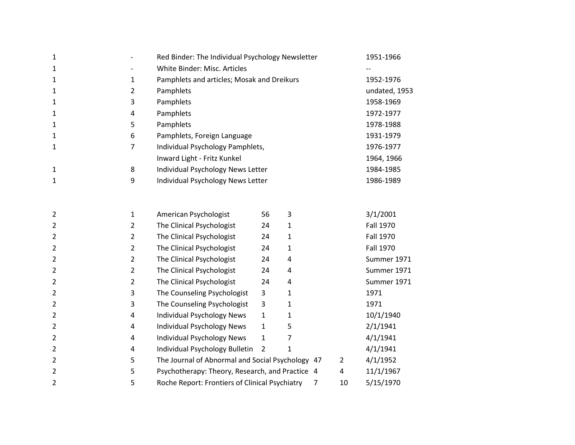| 1              |                | Red Binder: The Individual Psychology Newsletter |                |                |                | 1951-1966        |
|----------------|----------------|--------------------------------------------------|----------------|----------------|----------------|------------------|
| 1              |                | White Binder: Misc. Articles                     |                |                |                |                  |
| 1              | $\mathbf{1}$   | Pamphlets and articles; Mosak and Dreikurs       |                |                |                | 1952-1976        |
| 1              | $\overline{2}$ | Pamphlets                                        |                |                |                | undated, 1953    |
| 1              | 3              | Pamphlets                                        |                |                |                | 1958-1969        |
| 1              | 4              | Pamphlets                                        |                |                |                | 1972-1977        |
| 1              | 5              | Pamphlets                                        |                |                |                | 1978-1988        |
| 1              | 6              | Pamphlets, Foreign Language                      |                |                |                | 1931-1979        |
| 1              | 7              | Individual Psychology Pamphlets,                 |                |                |                | 1976-1977        |
|                |                | Inward Light - Fritz Kunkel                      |                |                |                | 1964, 1966       |
| 1              | 8              | Individual Psychology News Letter                |                |                |                | 1984-1985        |
| 1              | 9              | Individual Psychology News Letter                |                |                |                | 1986-1989        |
|                |                |                                                  |                |                |                |                  |
| 2              | $\mathbf{1}$   | American Psychologist                            | 56             | 3              |                | 3/1/2001         |
| 2              | $\overline{2}$ | The Clinical Psychologist                        | 24             | 1              |                | <b>Fall 1970</b> |
| 2              | $\overline{2}$ | The Clinical Psychologist                        | 24             | 1              |                | <b>Fall 1970</b> |
| $\overline{2}$ | $\overline{2}$ | The Clinical Psychologist                        | 24             | 1              |                | <b>Fall 1970</b> |
| $\overline{2}$ | $\overline{2}$ | The Clinical Psychologist                        | 24             | 4              |                | Summer 1971      |
| $\overline{2}$ | $\overline{2}$ | The Clinical Psychologist                        | 24             | 4              |                | Summer 1971      |
| $\overline{2}$ | $\overline{2}$ | The Clinical Psychologist                        | 24             | 4              |                | Summer 1971      |
| $\overline{2}$ | 3              | The Counseling Psychologist                      | 3              | 1              |                | 1971             |
| $\overline{2}$ | 3              | The Counseling Psychologist                      | 3              | 1              |                | 1971             |
| $\overline{2}$ | 4              | <b>Individual Psychology News</b>                | $\mathbf{1}$   | 1              |                | 10/1/1940        |
| $\overline{2}$ | 4              | <b>Individual Psychology News</b>                | $\mathbf{1}$   | 5              |                | 2/1/1941         |
| $\overline{2}$ | 4              | <b>Individual Psychology News</b>                | $\mathbf 1$    | 7              |                | 4/1/1941         |
| $\overline{2}$ | 4              | Individual Psychology Bulletin                   | $\overline{2}$ | 1              |                | 4/1/1941         |
| $\overline{2}$ | 5              | The Journal of Abnormal and Social Psychology 47 |                |                | $\overline{2}$ | 4/1/1952         |
| $\overline{2}$ | 5              | Psychotherapy: Theory, Research, and Practice 4  |                |                | 4              | 11/1/1967        |
| 2              | 5              | Roche Report: Frontiers of Clinical Psychiatry   |                | $\overline{7}$ | 10             | 5/15/1970        |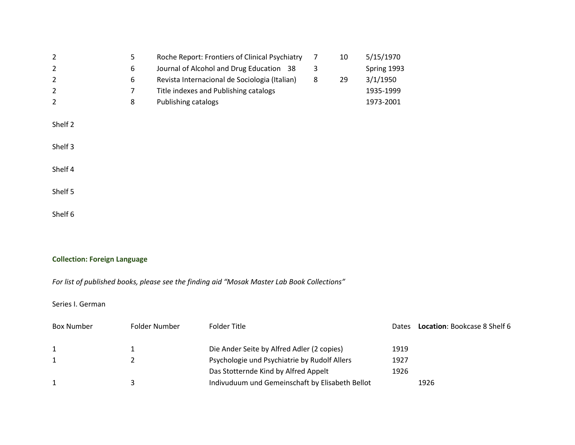| 2       | 5 | Roche Report: Frontiers of Clinical Psychiatry | 7 | 10 | 5/15/1970   |
|---------|---|------------------------------------------------|---|----|-------------|
| 2       | 6 | Journal of Alcohol and Drug Education 38       | 3 |    | Spring 1993 |
| 2       | 6 | Revista Internacional de Sociologia (Italian)  | 8 | 29 | 3/1/1950    |
| 2       | 7 | Title indexes and Publishing catalogs          |   |    | 1935-1999   |
| 2       | 8 | Publishing catalogs                            |   |    | 1973-2001   |
|         |   |                                                |   |    |             |
| Shelf 2 |   |                                                |   |    |             |
|         |   |                                                |   |    |             |
| Shelf 3 |   |                                                |   |    |             |
|         |   |                                                |   |    |             |
| Shelf 4 |   |                                                |   |    |             |
|         |   |                                                |   |    |             |
| Shelf 5 |   |                                                |   |    |             |
|         |   |                                                |   |    |             |
| Shelf 6 |   |                                                |   |    |             |

## **Collection: Foreign Language**

*For list of published books, please see the finding aid "Mosak Master Lab Book Collections"*

## Series I. German

| <b>Box Number</b> | Folder Number | Folder Title                                    | Dates | <b>Location: Bookcase 8 Shelf 6</b> |
|-------------------|---------------|-------------------------------------------------|-------|-------------------------------------|
|                   |               |                                                 |       |                                     |
|                   |               | Die Ander Seite by Alfred Adler (2 copies)      | 1919  |                                     |
|                   |               | Psychologie und Psychiatrie by Rudolf Allers    | 1927  |                                     |
|                   |               | Das Stotternde Kind by Alfred Appelt            | 1926  |                                     |
|                   |               | Indivuduum und Gemeinschaft by Elisabeth Bellot |       | 1926                                |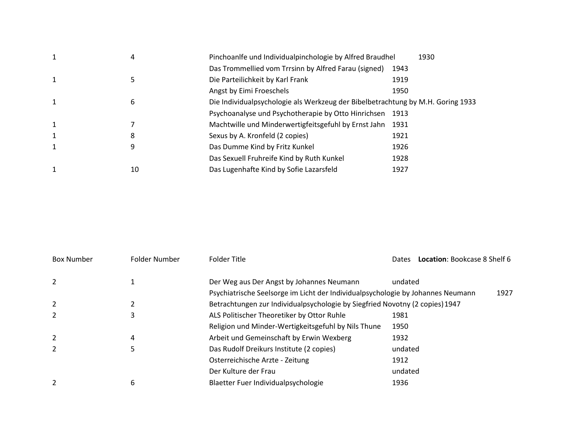| $\mathbf{1}$ | 4  | Pinchoanlfe und Individualpinchologie by Alfred Braudhel                        | 1930 |  |
|--------------|----|---------------------------------------------------------------------------------|------|--|
|              |    | Das Trommellied vom Trrsinn by Alfred Farau (signed)                            | 1943 |  |
| $\mathbf{1}$ | 5  | Die Parteilichkeit by Karl Frank                                                | 1919 |  |
|              |    | Angst by Eimi Froeschels                                                        | 1950 |  |
| $\mathbf{1}$ | 6  | Die Individualpsychologie als Werkzeug der Bibelbetrachtung by M.H. Goring 1933 |      |  |
|              |    | Psychoanalyse und Psychotherapie by Otto Hinrichsen                             | 1913 |  |
| $\mathbf{1}$ |    | Machtwille und Minderwertigfeitsgefuhl by Ernst Jahn                            | 1931 |  |
| $\mathbf{1}$ | 8  | Sexus by A. Kronfeld (2 copies)                                                 | 1921 |  |
|              | 9  | Das Dumme Kind by Fritz Kunkel                                                  | 1926 |  |
|              |    | Das Sexuell Fruhreife Kind by Ruth Kunkel                                       | 1928 |  |
|              | 10 | Das Lugenhafte Kind by Sofie Lazarsfeld                                         | 1927 |  |

| <b>Box Number</b> | Folder Number | Folder Title                                                                    | Location: Bookcase 8 Shelf 6<br><b>Dates</b> |
|-------------------|---------------|---------------------------------------------------------------------------------|----------------------------------------------|
| 2                 |               | Der Weg aus Der Angst by Johannes Neumann                                       | undated                                      |
|                   |               | Psychiatrische Seelsorge im Licht der Individualpsychologie by Johannes Neumann | 1927                                         |
| 2                 |               | Betrachtungen zur Individualpsychologie by Siegfried Novotny (2 copies) 1947    |                                              |
| 2                 |               | ALS Politischer Theoretiker by Ottor Ruhle                                      | 1981                                         |
|                   |               | Religion und Minder-Wertigkeitsgefuhl by Nils Thune                             | 1950                                         |
| 2                 | 4             | Arbeit und Gemeinschaft by Erwin Wexberg                                        | 1932                                         |
| 2                 | 5             | Das Rudolf Dreikurs Institute (2 copies)                                        | undated                                      |
|                   |               | Osterreichische Arzte - Zeitung                                                 | 1912                                         |
|                   |               | Der Kulture der Frau                                                            | undated                                      |
|                   | 6             | Blaetter Fuer Individualpsychologie                                             | 1936                                         |